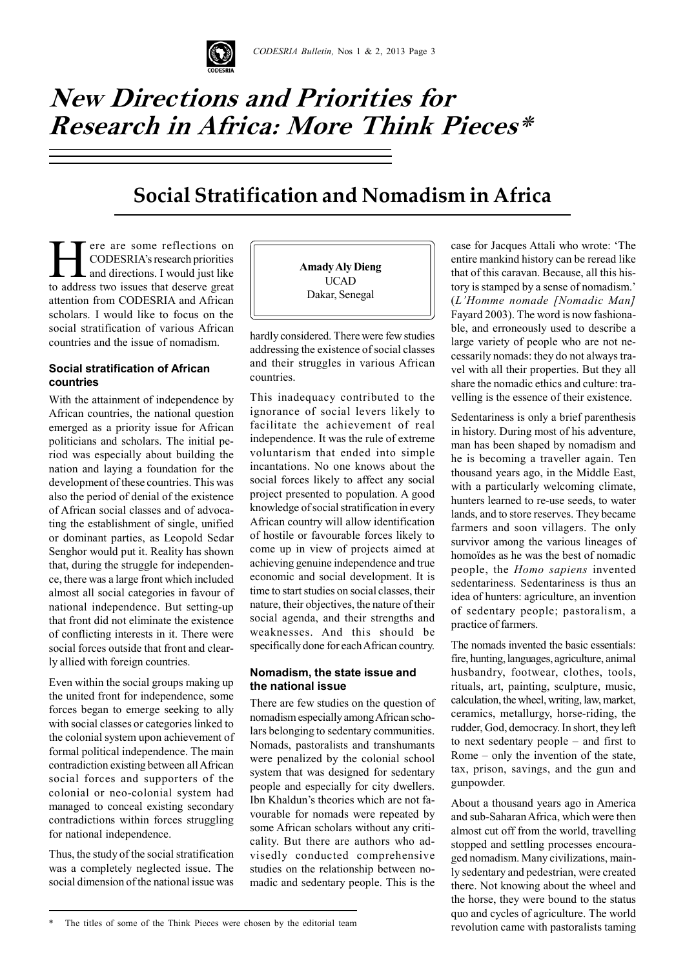# **New Directions and Priorities for**  $\pi$  $\mathbf{I}$   $\mathbf{I}$   $\mathbf{R}$ Mission to the United Nations **Research in Africa: More Think Pieces\***

# **Social Stratification and Nomadism in Africa**

ere are some reflections on CODESRIA's research priorities and directions. I would just like to address two issues that deserve great attention from CODESRIA and African scholars. I would like to focus on the social stratification of various African countries and the issue of nomadism.

#### **Social stratification of African countries**

With the attainment of independence by African countries, the national question emerged as a priority issue for African politicians and scholars. The initial period was especially about building the nation and laying a foundation for the development of these countries. This was also the period of denial of the existence of African social classes and of advocating the establishment of single, unified or dominant parties, as Leopold Sedar Senghor would put it. Reality has shown that, during the struggle for independence, there was a large front which included almost all social categories in favour of national independence. But setting-up that front did not eliminate the existence of conflicting interests in it. There were social forces outside that front and clearly allied with foreign countries.

Even within the social groups making up the united front for independence, some forces began to emerge seeking to ally with social classes or categories linked to the colonial system upon achievement of formal political independence. The main contradiction existing between all African social forces and supporters of the colonial or neo-colonial system had managed to conceal existing secondary contradictions within forces struggling for national independence.

Thus, the study of the social stratification was a completely neglected issue. The social dimension of the national issue was **Amady Aly Dieng** UCAD Dakar, Senegal

hardly considered. There were few studies addressing the existence of social classes and their struggles in various African countries.

This inadequacy contributed to the ignorance of social levers likely to facilitate the achievement of real independence. It was the rule of extreme voluntarism that ended into simple incantations. No one knows about the social forces likely to affect any social project presented to population. A good knowledge of social stratification in every African country will allow identification of hostile or favourable forces likely to come up in view of projects aimed at achieving genuine independence and true economic and social development. It is time to start studies on social classes, their nature, their objectives, the nature of their social agenda, and their strengths and weaknesses. And this should be specifically done for each African country.

## **Nomadism, the state issue and the national issue**

There are few studies on the question of nomadism especially among African scholars belonging to sedentary communities. Nomads, pastoralists and transhumants were penalized by the colonial school system that was designed for sedentary people and especially for city dwellers. Ibn Khaldun's theories which are not favourable for nomads were repeated by some African scholars without any criticality. But there are authors who advisedly conducted comprehensive studies on the relationship between nomadic and sedentary people. This is the

case for Jacques Attali who wrote: 'The entire mankind history can be reread like that of this caravan. Because, all this history is stamped by a sense of nomadism.' (*L'Homme nomade [Nomadic Man]* Fayard 2003). The word is now fashionable, and erroneously used to describe a large variety of people who are not necessarily nomads: they do not always travel with all their properties. But they all share the nomadic ethics and culture: travelling is the essence of their existence.

Sedentariness is only a brief parenthesis in history. During most of his adventure, man has been shaped by nomadism and he is becoming a traveller again. Ten thousand years ago, in the Middle East, with a particularly welcoming climate, hunters learned to re-use seeds, to water lands, and to store reserves. They became farmers and soon villagers. The only survivor among the various lineages of homoïdes as he was the best of nomadic people, the *Homo sapiens* invented sedentariness. Sedentariness is thus an idea of hunters: agriculture, an invention of sedentary people; pastoralism, a practice of farmers.

The nomads invented the basic essentials: fire, hunting, languages, agriculture, animal husbandry, footwear, clothes, tools, rituals, art, painting, sculpture, music, calculation, the wheel, writing, law, market, ceramics, metallurgy, horse-riding, the rudder, God, democracy. In short, they left to next sedentary people – and first to Rome – only the invention of the state, tax, prison, savings, and the gun and gunpowder.

About a thousand years ago in America and sub-Saharan Africa, which were then almost cut off from the world, travelling stopped and settling processes encouraged nomadism. Many civilizations, mainly sedentary and pedestrian, were created there. Not knowing about the wheel and the horse, they were bound to the status quo and cycles of agriculture. The world revolution came with pastoralists taming

The titles of some of the Think Pieces were chosen by the editorial team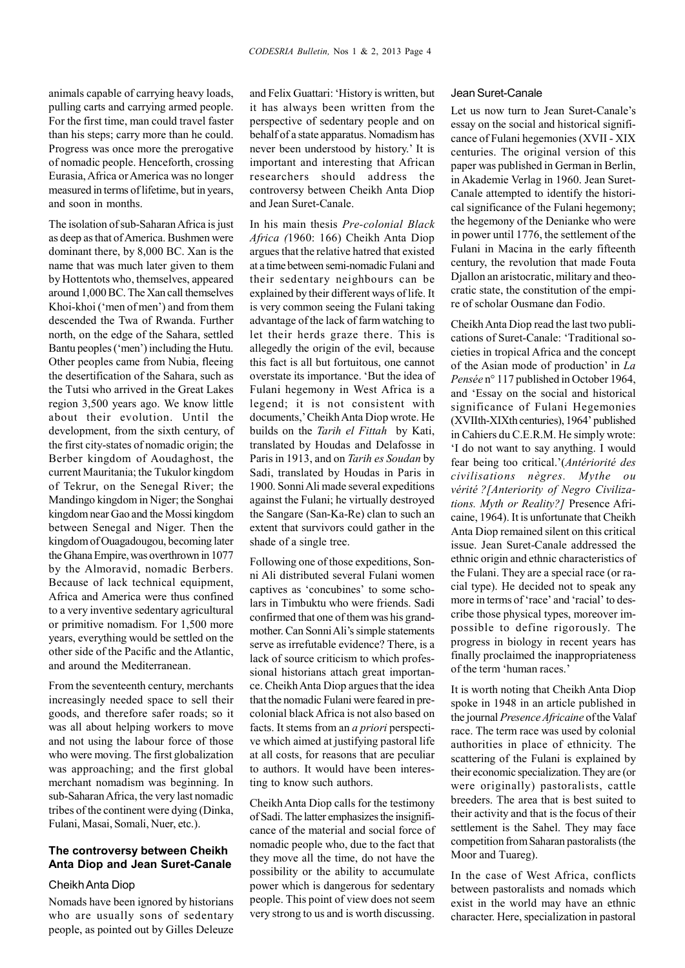animals capable of carrying heavy loads, pulling carts and carrying armed people. For the first time, man could travel faster than his steps; carry more than he could. Progress was once more the prerogative of nomadic people. Henceforth, crossing Eurasia, Africa or America was no longer measured in terms of lifetime, but in years, and soon in months.

The isolation of sub-Saharan Africa is just as deep as that of America. Bushmen were dominant there, by 8,000 BC. Xan is the name that was much later given to them by Hottentots who, themselves, appeared around 1,000 BC. The Xan call themselves Khoi-khoi ('men of men') and from them descended the Twa of Rwanda. Further north, on the edge of the Sahara, settled Bantu peoples ('men') including the Hutu. Other peoples came from Nubia, fleeing the desertification of the Sahara, such as the Tutsi who arrived in the Great Lakes region 3,500 years ago. We know little about their evolution. Until the development, from the sixth century, of the first city-states of nomadic origin; the Berber kingdom of Aoudaghost, the current Mauritania; the Tukulor kingdom of Tekrur, on the Senegal River; the Mandingo kingdom in Niger; the Songhai kingdom near Gao and the Mossi kingdom between Senegal and Niger. Then the kingdom of Ouagadougou, becoming later the Ghana Empire, was overthrown in 1077 by the Almoravid, nomadic Berbers. Because of lack technical equipment, Africa and America were thus confined to a very inventive sedentary agricultural or primitive nomadism. For 1,500 more years, everything would be settled on the other side of the Pacific and the Atlantic, and around the Mediterranean.

From the seventeenth century, merchants increasingly needed space to sell their goods, and therefore safer roads; so it was all about helping workers to move and not using the labour force of those who were moving. The first globalization was approaching; and the first global merchant nomadism was beginning. In sub-Saharan Africa, the very last nomadic tribes of the continent were dying (Dinka, Fulani, Masai, Somali, Nuer, etc.).

### **The controversy between Cheikh Anta Diop and Jean Suret-Canale**

#### Cheikh Anta Diop

Nomads have been ignored by historians who are usually sons of sedentary people, as pointed out by Gilles Deleuze and Felix Guattari: 'History is written, but it has always been written from the perspective of sedentary people and on behalf of a state apparatus. Nomadism has never been understood by history.' It is important and interesting that African researchers should address the controversy between Cheikh Anta Diop and Jean Suret-Canale.

In his main thesis *Pre-colonial Black Africa (*1960: 166) Cheikh Anta Diop argues that the relative hatred that existed at a time between semi-nomadic Fulani and their sedentary neighbours can be explained by their different ways of life. It is very common seeing the Fulani taking advantage of the lack of farm watching to let their herds graze there. This is allegedly the origin of the evil, because this fact is all but fortuitous, one cannot overstate its importance. 'But the idea of Fulani hegemony in West Africa is a legend; it is not consistent with documents,' Cheikh Anta Diop wrote. He builds on the *Tarih el Fittah* by Kati, translated by Houdas and Delafosse in Paris in 1913, and on *Tarih es Soudan* by Sadi, translated by Houdas in Paris in 1900. Sonni Ali made several expeditions against the Fulani; he virtually destroyed the Sangare (San-Ka-Re) clan to such an extent that survivors could gather in the shade of a single tree.

Following one of those expeditions, Sonni Ali distributed several Fulani women captives as 'concubines' to some scholars in Timbuktu who were friends. Sadi confirmed that one of them was his grandmother. Can Sonni Ali's simple statements serve as irrefutable evidence? There, is a lack of source criticism to which professional historians attach great importance. Cheikh Anta Diop argues that the idea that the nomadic Fulani were feared in precolonial black Africa is not also based on facts. It stems from an *a priori* perspective which aimed at justifying pastoral life at all costs, for reasons that are peculiar to authors. It would have been interesting to know such authors.

Cheikh Anta Diop calls for the testimony of Sadi. The latter emphasizes the insignificance of the material and social force of nomadic people who, due to the fact that they move all the time, do not have the possibility or the ability to accumulate power which is dangerous for sedentary people. This point of view does not seem very strong to us and is worth discussing.

#### Jean Suret-Canale

Let us now turn to Jean Suret-Canale's essay on the social and historical significance of Fulani hegemonies (XVII - XIX centuries. The original version of this paper was published in German in Berlin, in Akademie Verlag in 1960. Jean Suret-Canale attempted to identify the historical significance of the Fulani hegemony; the hegemony of the Denianke who were in power until 1776, the settlement of the Fulani in Macina in the early fifteenth century, the revolution that made Fouta Djallon an aristocratic, military and theocratic state, the constitution of the empire of scholar Ousmane dan Fodio.

Cheikh Anta Diop read the last two publications of Suret-Canale: 'Traditional societies in tropical Africa and the concept of the Asian mode of production' in *La Pensée* n° 117 published in October 1964, and 'Essay on the social and historical significance of Fulani Hegemonies (XVIIth-XIXth centuries), 1964' published in Cahiers du C.E.R.M. He simply wrote: 'I do not want to say anything. I would fear being too critical.'(*Antériorité des civilisations nègres. Mythe ou vérité ?[Anteriority of Negro Civilizations. Myth or Reality?]* Presence Africaine, 1964). It is unfortunate that Cheikh Anta Diop remained silent on this critical issue. Jean Suret-Canale addressed the ethnic origin and ethnic characteristics of the Fulani. They are a special race (or racial type). He decided not to speak any more in terms of 'race' and 'racial' to describe those physical types, moreover impossible to define rigorously. The progress in biology in recent years has finally proclaimed the inappropriateness of the term 'human races.'

It is worth noting that Cheikh Anta Diop spoke in 1948 in an article published in the journal *Presence Africaine* of the Valaf race. The term race was used by colonial authorities in place of ethnicity. The scattering of the Fulani is explained by their economic specialization. They are (or were originally) pastoralists, cattle breeders. The area that is best suited to their activity and that is the focus of their settlement is the Sahel. They may face competition from Saharan pastoralists (the Moor and Tuareg).

In the case of West Africa, conflicts between pastoralists and nomads which exist in the world may have an ethnic character. Here, specialization in pastoral